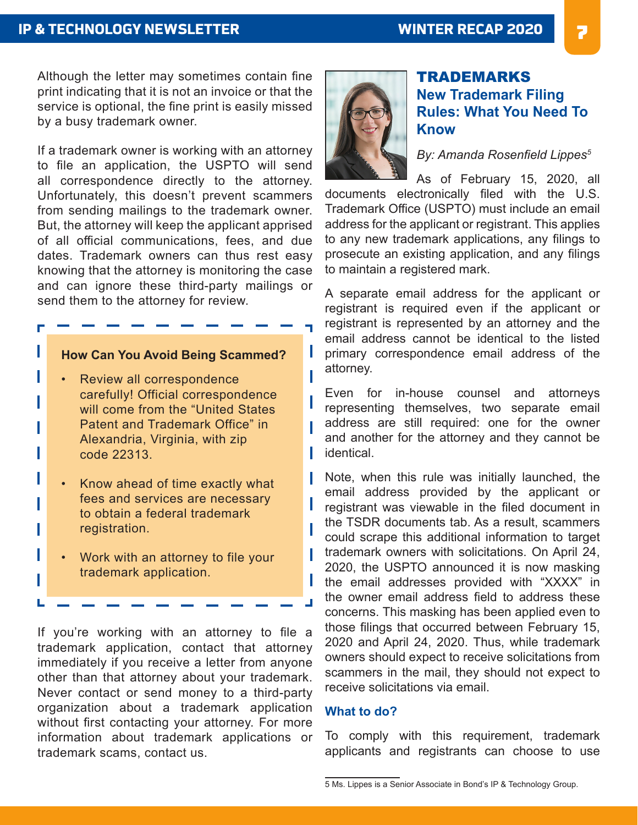## **IP & TECHNOLOGY NEWSLETTER**

Although the letter may sometimes contain fine print indicating that it is not an invoice or that the service is optional, the fine print is easily missed by a busy trademark owner.

If a trademark owner is working with an attorney to file an application, the USPTO will send all correspondence directly to the attorney. Unfortunately, this doesn't prevent scammers from sending mailings to the trademark owner. But, the attorney will keep the applicant apprised of all official communications, fees, and due dates. Trademark owners can thus rest easy knowing that the attorney is monitoring the case and can ignore these third-party mailings or send them to the attorney for review.

### **How Can You Avoid Being Scammed?**

г

L

- Review all correspondence carefully! Official correspondence will come from the "United States Patent and Trademark Office" in Alexandria, Virginia, with zip code 22313.
- Know ahead of time exactly what fees and services are necessary to obtain a federal trademark registration.
- Work with an attorney to file your trademark application.

If you're working with an attorney to file a trademark application, contact that attorney immediately if you receive a letter from anyone other than that attorney about your trademark. Never contact or send money to a third-party organization about a trademark application without first contacting your attorney. For more information about trademark applications or trademark scams, contact us.



# TRADEMARKS **New Trademark Filing Rules: What You Need To Know**

*By: Amanda Rosenfield Lippes<sup>5</sup>*

As of February 15, 2020, all documents electronically filed with the U.S. Trademark Office (USPTO) must include an email address for the applicant or registrant. This applies to any new trademark applications, any filings to prosecute an existing application, and any filings to maintain a registered mark.

A separate email address for the applicant or registrant is required even if the applicant or registrant is represented by an attorney and the email address cannot be identical to the listed primary correspondence email address of the attorney.

Even for in-house counsel and attorneys representing themselves, two separate email address are still required: one for the owner and another for the attorney and they cannot be identical.

Note, when this rule was initially launched, the email address provided by the applicant or registrant was viewable in the filed document in the TSDR documents tab. As a result, scammers could scrape this additional information to target trademark owners with solicitations. On April 24, 2020, the USPTO announced it is now masking the email addresses provided with "XXXX" in the owner email address field to address these concerns. This masking has been applied even to those filings that occurred between February 15, 2020 and April 24, 2020. Thus, while trademark owners should expect to receive solicitations from scammers in the mail, they should not expect to receive solicitations via email.

#### **What to do?**

To comply with this requirement, trademark applicants and registrants can choose to use

<sup>5</sup> Ms. Lippes is a Senior Associate in Bond's IP & Technology Group.